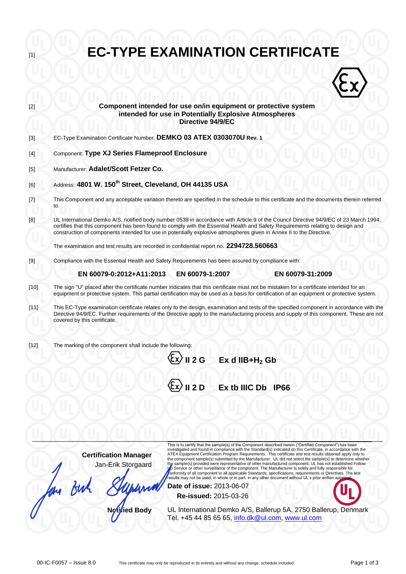

**Certification Manager** Jan-Erik Storgaard investigated and found in compliance with the Standard(s) indicated on this Certificate, in accordance with the ATEX Equipment Certification Program Requirements. This certificate and test results obtained apply only to the component sample(s) submitted by the Manufacturer. UL did not select the sample(s) or determine whether the sample(s) provided were representative of other manufactured component. UL has not established Follow-<br>∬o Service or other surveillance of the component. The Manufacturer is solely and fully responsible for<br>,onformity results may not be used, in whole or in part, in any other document without UL's prior written ap **Date of issue:** 2013-06-07

**Re-issued:** 2015-03-26

**Notified Body** UL International Demko A/S, Ballerup 5A, 2750 Ballerup, Denmark Tel. +45 44 85 65 65, [info.dk@ul.com,](mailto:info.dk@ul.com) [www.ul.com](http://www.ul.com/)

an Buh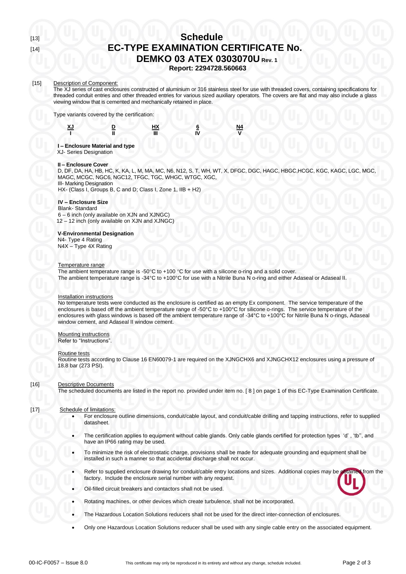# [13] **Schedule** [14] **EC-TYPE EXAMINATION CERTIFICATE No. DEMKO 03 ATEX 0303070U Rev. 1**

**Report: 2294728.560663**

#### [15] Description of Component:

The XJ series of cast enclosures constructed of aluminium or 316 stainless steel for use with threaded covers, containing specifications for threaded conduit entries and other threaded entries for various sized auxiliary operators. The covers are flat and may also include a glass viewing window that is cemented and mechanically retained in place.

Type variants covered by the certification:





**I II III IV V**

# **I – Enclosure Material and type**

XJ- Series Designation

# **II – Enclosure Cover**

 D, DF, DA, HA, HB, HC, K, KA, L, M, MA, MC, N6, N12, S, T, WH, WT, X, DFGC, DGC, HAGC, HBGC,HCGC, KGC, KAGC, LGC, MGC, MAGC, MCGC, NGC6, NGC12, TFGC, TGC, WHGC, WTGC, XGC, III- Marking Designation

HX- (Class I, Groups B, C and D; Class I, Zone 1, IIB + H2)

# **IV – Enclosure Size**

 Blank- Standard 6 – 6 inch (only available on XJN and XJNGC)

12 – 12 inch (only available on XJN and XJNGC)

# **V-Environmental Designation**

 N4- Type 4 Rating N4X – Type 4X Rating

# Temperature range

The ambient temperature range is -50 $\degree$ C to +100  $\degree$ C for use with a silicone o-ring and a solid cover. The ambient temperature range is -34°C to +100°C for use with a Nitrile Buna N o-ring and either Adaseal or Adaseal II.

#### Installation instructions

No temperature tests were conducted as the enclosure is certified as an empty Ex component. The service temperature of the enclosures is based off the ambient temperature range of -50°C to +100°C for silicone o-rings. The service temperature of the enclosures with glass windows is based off the ambient temperature range of -34°C to +100°C for Nitrile Buna N o-rings, Adaseal window cement, and Adaseal II window cement.

# Mounting instructions

Refer to "Instructions"

#### Routine tests

Routine tests according to Clause 16 EN60079-1 are required on the XJNGCHX6 and XJNGCHX12 enclosures using a pressure of 18.8 bar (273 PSI).

# [16] Descriptive Documents

The scheduled documents are listed in the report no. provided under item no. [ 8 ] on page 1 of this EC-Type Examination Certificate.

# [17] Schedule of limitations:

- For enclosure outline dimensions, conduit/cable layout, and conduit/cable drilling and tapping instructions, refer to supplied datasheet.
- The certification applies to equipment without cable glands. Only cable glands certified for protection types 'd' , 'tb'', and have an IP66 rating may be used.
- To minimize the risk of electrostatic charge, provisions shall be made for adequate grounding and equipment shall be installed in such a manner so that accidental discharge shall not occur.
- Refer to supplied enclosure drawing for conduit/cable entry locations and sizes. Additional copies may be obtained from the factory. Include the enclosure serial number with any request.
- Oil-filled circuit breakers and contactors shall not be used.
- Rotating machines, or other devices which create turbulence, shall not be incorporated.
- The Hazardous Location Solutions reducers shall not be used for the direct inter-connection of enclosures.
- Only one Hazardous Location Solutions reducer shall be used with any single cable entry on the associated equipment.